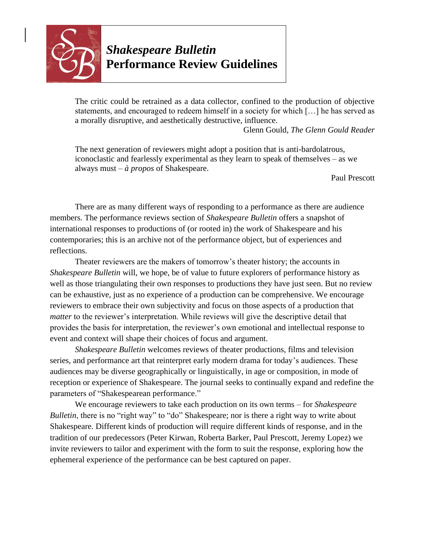

*Shakespeare Bulletin* **Performance Review Guidelines**

The critic could be retrained as a data collector, confined to the production of objective statements, and encouraged to redeem himself in a society for which […] he has served as a morally disruptive, and aesthetically destructive, influence.

Glenn Gould, *The Glenn Gould Reader*

The next generation of reviewers might adopt a position that is anti-bardolatrous, iconoclastic and fearlessly experimental as they learn to speak of themselves – as we always must – *à propos* of Shakespeare.

Paul Prescott

There are as many different ways of responding to a performance as there are audience members. The performance reviews section of *Shakespeare Bulletin* offers a snapshot of international responses to productions of (or rooted in) the work of Shakespeare and his contemporaries; this is an archive not of the performance object, but of experiences and reflections.

Theater reviewers are the makers of tomorrow's theater history; the accounts in *Shakespeare Bulletin* will, we hope, be of value to future explorers of performance history as well as those triangulating their own responses to productions they have just seen. But no review can be exhaustive, just as no experience of a production can be comprehensive. We encourage reviewers to embrace their own subjectivity and focus on those aspects of a production that *matter* to the reviewer's interpretation. While reviews will give the descriptive detail that provides the basis for interpretation, the reviewer's own emotional and intellectual response to event and context will shape their choices of focus and argument.

*Shakespeare Bulletin* welcomes reviews of theater productions, films and television series, and performance art that reinterpret early modern drama for today's audiences. These audiences may be diverse geographically or linguistically, in age or composition, in mode of reception or experience of Shakespeare. The journal seeks to continually expand and redefine the parameters of "Shakespearean performance."

We encourage reviewers to take each production on its own terms – for *Shakespeare Bulletin*, there is no "right way" to "do" Shakespeare; nor is there a right way to write about Shakespeare. Different kinds of production will require different kinds of response, and in the tradition of our predecessors (Peter Kirwan, Roberta Barker, Paul Prescott, Jeremy Lopez) we invite reviewers to tailor and experiment with the form to suit the response, exploring how the ephemeral experience of the performance can be best captured on paper.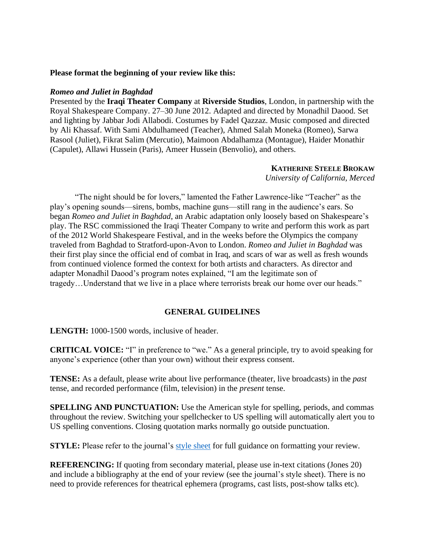### **Please format the beginning of your review like this:**

#### *Romeo and Juliet in Baghdad*

Presented by the **Iraqi Theater Company** at **Riverside Studios**, London, in partnership with the Royal Shakespeare Company. 27–30 June 2012. Adapted and directed by Monadhil Daood. Set and lighting by Jabbar Jodi Allabodi. Costumes by Fadel Qazzaz. Music composed and directed by Ali Khassaf. With Sami Abdulhameed (Teacher), Ahmed Salah Moneka (Romeo), Sarwa Rasool (Juliet), Fikrat Salim (Mercutio), Maimoon Abdalhamza (Montague), Haider Monathir (Capulet), Allawi Hussein (Paris), Ameer Hussein (Benvolio), and others.

### **KATHERINE STEELE BROKAW**

*University of California, Merced*

"The night should be for lovers," lamented the Father Lawrence-like "Teacher" as the play's opening sounds—sirens, bombs, machine guns—still rang in the audience's ears. So began *Romeo and Juliet in Baghdad*, an Arabic adaptation only loosely based on Shakespeare's play. The RSC commissioned the Iraqi Theater Company to write and perform this work as part of the 2012 World Shakespeare Festival, and in the weeks before the Olympics the company traveled from Baghdad to Stratford-upon-Avon to London. *Romeo and Juliet in Baghdad* was their first play since the official end of combat in Iraq, and scars of war as well as fresh wounds from continued violence formed the context for both artists and characters. As director and adapter Monadhil Daood's program notes explained, "I am the legitimate son of tragedy…Understand that we live in a place where terrorists break our home over our heads."

#### **GENERAL GUIDELINES**

**LENGTH:** 1000-1500 words, inclusive of header.

**CRITICAL VOICE:** "I" in preference to "we." As a general principle, try to avoid speaking for anyone's experience (other than your own) without their express consent.

**TENSE:** As a default, please write about live performance (theater, live broadcasts) in the *past* tense, and recorded performance (film, television) in the *present* tense.

**SPELLING AND PUNCTUATION:** Use the American style for spelling, periods, and commas throughout the review. Switching your spellchecker to US spelling will automatically alert you to US spelling conventions. Closing quotation marks normally go outside punctuation.

**STYLE:** Please refer to the journal's [style sheet](https://www.press.jhu.edu/sites/default/files/SB_style_sheet.pdf) for full guidance on formatting your review.

**REFERENCING:** If quoting from secondary material, please use in-text citations (Jones 20) and include a bibliography at the end of your review (see the journal's style sheet). There is no need to provide references for theatrical ephemera (programs, cast lists, post-show talks etc).